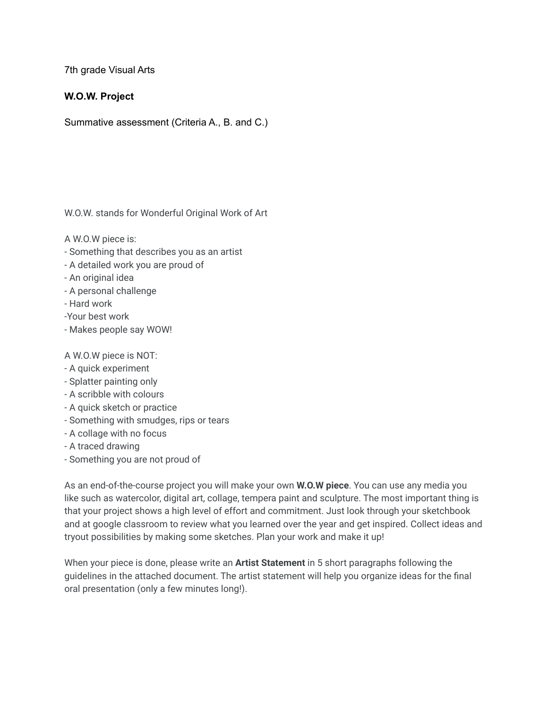7th grade Visual Arts

## **W.O.W. Project**

Summative assessment (Criteria A., B. and C.)

W.O.W. stands for Wonderful Original Work of Art

A W.O.W piece is:

- Something that describes you as an artist
- A detailed work you are proud of
- An original idea
- A personal challenge
- Hard work
- -Your best work
- Makes people say WOW!

A W.O.W piece is NOT:

- A quick experiment
- Splatter painting only
- A scribble with colours
- A quick sketch or practice
- Something with smudges, rips or tears
- A collage with no focus
- A traced drawing
- Something you are not proud of

As an end-of-the-course project you will make your own **W.O.W piece**. You can use any media you like such as watercolor, digital art, collage, tempera paint and sculpture. The most important thing is that your project shows a high level of effort and commitment. Just look through your sketchbook and at google classroom to review what you learned over the year and get inspired. Collect ideas and tryout possibilities by making some sketches. Plan your work and make it up!

When your piece is done, please write an **Artist Statement** in 5 short paragraphs following the guidelines in the attached document. The artist statement will help you organize ideas for the final oral presentation (only a few minutes long!).